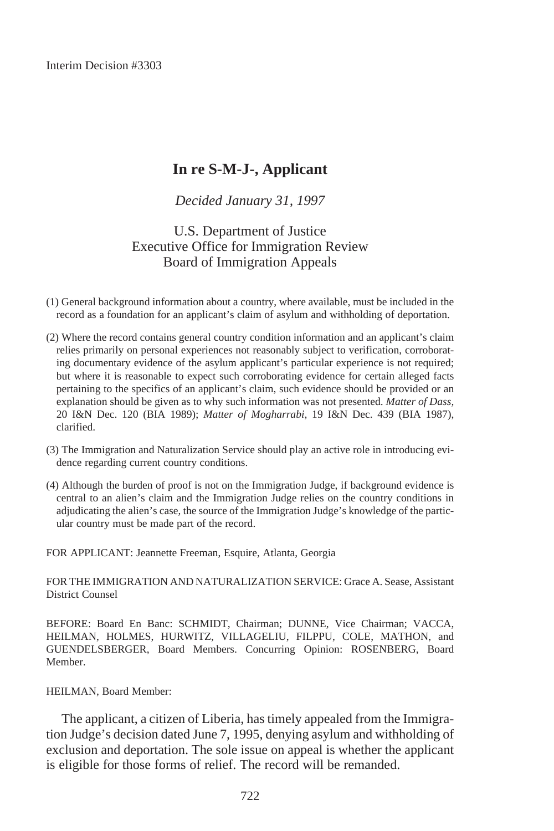Interim Decision #3303

# **In re S-M-J-, Applicant**

*Decided January 31, 1997*

U.S. Department of Justice Executive Office for Immigration Review Board of Immigration Appeals

- (1) General background information about a country, where available, must be included in the record as a foundation for an applicant's claim of asylum and withholding of deportation.
- (2) Where the record contains general country condition information and an applicant's claim relies primarily on personal experiences not reasonably subject to verification, corroborating documentary evidence of the asylum applicant's particular experience is not required; but where it is reasonable to expect such corroborating evidence for certain alleged facts pertaining to the specifics of an applicant's claim, such evidence should be provided or an explanation should be given as to why such information was not presented. *Matter of Dass,* 20 I&N Dec. 120 (BIA 1989); *Matter of Mogharrabi*, 19 I&N Dec. 439 (BIA 1987), clarified.
- (3) The Immigration and Naturalization Service should play an active role in introducing evidence regarding current country conditions.
- (4) Although the burden of proof is not on the Immigration Judge, if background evidence is central to an alien's claim and the Immigration Judge relies on the country conditions in adjudicating the alien's case, the source of the Immigration Judge's knowledge of the particular country must be made part of the record.

FOR APPLICANT: Jeannette Freeman, Esquire, Atlanta, Georgia

FOR THE IMMIGRATION AND NATURALIZATION SERVICE: Grace A. Sease, Assistant District Counsel

BEFORE: Board En Banc: SCHMIDT, Chairman; DUNNE, Vice Chairman; VACCA, HEILMAN, HOLMES, HURWITZ, VILLAGELIU, FILPPU, COLE, MATHON, and GUENDELSBERGER, Board Members. Concurring Opinion: ROSENBERG, Board Member.

#### HEILMAN, Board Member:

The applicant, a citizen of Liberia, has timely appealed from the Immigration Judge's decision dated June 7, 1995, denying asylum and withholding of exclusion and deportation. The sole issue on appeal is whether the applicant is eligible for those forms of relief. The record will be remanded.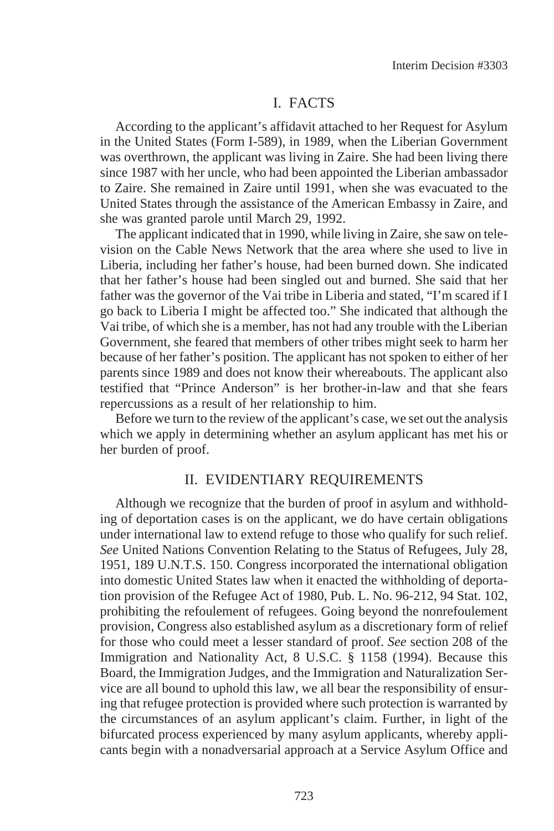## I. FACTS

According to the applicant's affidavit attached to her Request for Asylum in the United States (Form I-589), in 1989, when the Liberian Government was overthrown, the applicant was living in Zaire. She had been living there since 1987 with her uncle, who had been appointed the Liberian ambassador to Zaire. She remained in Zaire until 1991, when she was evacuated to the United States through the assistance of the American Embassy in Zaire, and she was granted parole until March 29, 1992.

The applicant indicated that in 1990, while living in Zaire, she saw on television on the Cable News Network that the area where she used to live in Liberia, including her father's house, had been burned down. She indicated that her father's house had been singled out and burned. She said that her father was the governor of the Vai tribe in Liberia and stated, "I'm scared if I go back to Liberia I might be affected too." She indicated that although the Vai tribe, of which she is a member, has not had any trouble with the Liberian Government, she feared that members of other tribes might seek to harm her because of her father's position. The applicant has not spoken to either of her parents since 1989 and does not know their whereabouts. The applicant also testified that "Prince Anderson" is her brother-in-law and that she fears repercussions as a result of her relationship to him.

Before we turn to the review of the applicant's case, we set out the analysis which we apply in determining whether an asylum applicant has met his or her burden of proof.

### II. EVIDENTIARY REQUIREMENTS

Although we recognize that the burden of proof in asylum and withholding of deportation cases is on the applicant, we do have certain obligations under international law to extend refuge to those who qualify for such relief. *See* United Nations Convention Relating to the Status of Refugees, July 28, 1951, 189 U.N.T.S. 150. Congress incorporated the international obligation into domestic United States law when it enacted the withholding of deportation provision of the Refugee Act of 1980, Pub. L. No. 96-212, 94 Stat. 102, prohibiting the refoulement of refugees. Going beyond the nonrefoulement provision, Congress also established asylum as a discretionary form of relief for those who could meet a lesser standard of proof. *See* section 208 of the Immigration and Nationality Act, 8 U.S.C. § 1158 (1994). Because this Board, the Immigration Judges, and the Immigration and Naturalization Service are all bound to uphold this law, we all bear the responsibility of ensuring that refugee protection is provided where such protection is warranted by the circumstances of an asylum applicant's claim. Further, in light of the bifurcated process experienced by many asylum applicants, whereby applicants begin with a nonadversarial approach at a Service Asylum Office and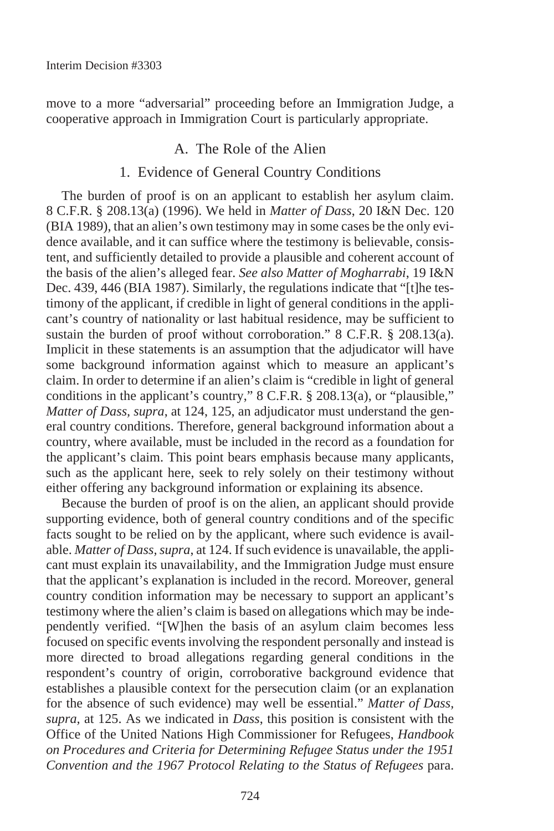move to a more "adversarial" proceeding before an Immigration Judge, a cooperative approach in Immigration Court is particularly appropriate.

## A. The Role of the Alien

## 1. Evidence of General Country Conditions

The burden of proof is on an applicant to establish her asylum claim. 8 C.F.R. § 208.13(a) (1996). We held in *Matter of Dass*, 20 I&N Dec. 120 (BIA 1989), that an alien's own testimony may in some cases be the only evidence available, and it can suffice where the testimony is believable, consistent, and sufficiently detailed to provide a plausible and coherent account of the basis of the alien's alleged fear. *See also Matter of Mogharrabi*, 19 I&N Dec. 439, 446 (BIA 1987). Similarly, the regulations indicate that "[t]he testimony of the applicant, if credible in light of general conditions in the applicant's country of nationality or last habitual residence, may be sufficient to sustain the burden of proof without corroboration." 8 C.F.R. § 208.13(a). Implicit in these statements is an assumption that the adjudicator will have some background information against which to measure an applicant's claim. In order to determine if an alien's claim is "credible in light of general conditions in the applicant's country," 8 C.F.R. § 208.13(a), or "plausible," *Matter of Dass, supra*, at 124, 125, an adjudicator must understand the general country conditions. Therefore, general background information about a country, where available, must be included in the record as a foundation for the applicant's claim. This point bears emphasis because many applicants, such as the applicant here, seek to rely solely on their testimony without either offering any background information or explaining its absence.

Because the burden of proof is on the alien, an applicant should provide supporting evidence, both of general country conditions and of the specific facts sought to be relied on by the applicant, where such evidence is available. *Matter of Dass, supra*, at 124. If such evidence is unavailable, the applicant must explain its unavailability, and the Immigration Judge must ensure that the applicant's explanation is included in the record. Moreover, general country condition information may be necessary to support an applicant's testimony where the alien's claim is based on allegations which may be independently verified. "[W]hen the basis of an asylum claim becomes less focused on specific events involving the respondent personally and instead is more directed to broad allegations regarding general conditions in the respondent's country of origin, corroborative background evidence that establishes a plausible context for the persecution claim (or an explanation for the absence of such evidence) may well be essential." *Matter of Dass, supra,* at 125. As we indicated in *Dass*, this position is consistent with the Office of the United Nations High Commissioner for Refugees, *Handbook on Procedures and Criteria for Determining Refugee Status under the 1951 Convention and the 1967 Protocol Relating to the Status of Refugees* para.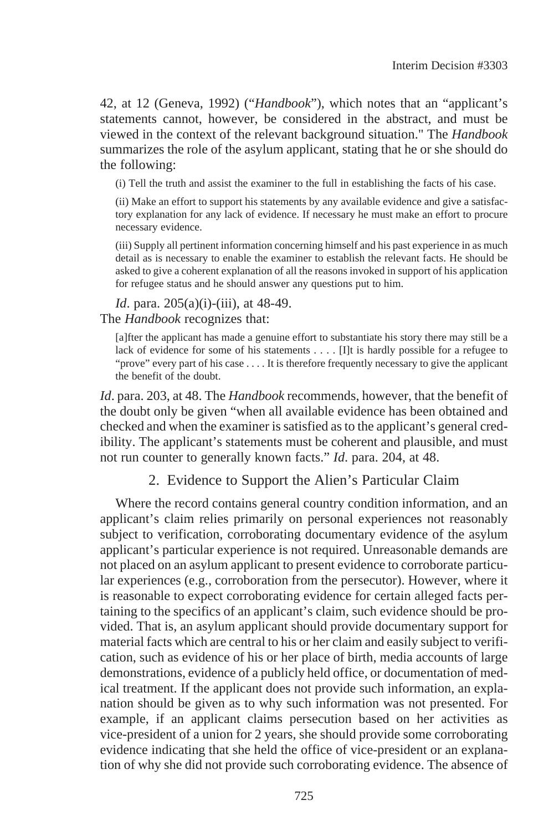42, at 12 (Geneva, 1992) ("*Handbook*"), which notes that an "applicant's statements cannot, however, be considered in the abstract, and must be viewed in the context of the relevant background situation." The *Handbook* summarizes the role of the asylum applicant, stating that he or she should do the following:

(i) Tell the truth and assist the examiner to the full in establishing the facts of his case.

(ii) Make an effort to support his statements by any available evidence and give a satisfactory explanation for any lack of evidence. If necessary he must make an effort to procure necessary evidence.

(iii) Supply all pertinent information concerning himself and his past experience in as much detail as is necessary to enable the examiner to establish the relevant facts. He should be asked to give a coherent explanation of all the reasons invoked in support of his application for refugee status and he should answer any questions put to him.

*Id.* para. 205(a)(i)-(iii), at 48-49.

The *Handbook* recognizes that:

[a]fter the applicant has made a genuine effort to substantiate his story there may still be a lack of evidence for some of his statements . . . . [I]t is hardly possible for a refugee to "prove" every part of his case . . . . It is therefore frequently necessary to give the applicant the benefit of the doubt.

*Id*. para. 203, at 48. The *Handbook* recommends, however, that the benefit of the doubt only be given "when all available evidence has been obtained and checked and when the examiner is satisfied as to the applicant's general credibility. The applicant's statements must be coherent and plausible, and must not run counter to generally known facts." *Id*. para. 204, at 48.

2. Evidence to Support the Alien's Particular Claim

Where the record contains general country condition information, and an applicant's claim relies primarily on personal experiences not reasonably subject to verification, corroborating documentary evidence of the asylum applicant's particular experience is not required. Unreasonable demands are not placed on an asylum applicant to present evidence to corroborate particular experiences (e.g., corroboration from the persecutor). However, where it is reasonable to expect corroborating evidence for certain alleged facts pertaining to the specifics of an applicant's claim, such evidence should be provided. That is, an asylum applicant should provide documentary support for material facts which are central to his or her claim and easily subject to verification, such as evidence of his or her place of birth, media accounts of large demonstrations, evidence of a publicly held office, or documentation of medical treatment. If the applicant does not provide such information, an explanation should be given as to why such information was not presented. For example, if an applicant claims persecution based on her activities as vice-president of a union for 2 years, she should provide some corroborating evidence indicating that she held the office of vice-president or an explanation of why she did not provide such corroborating evidence. The absence of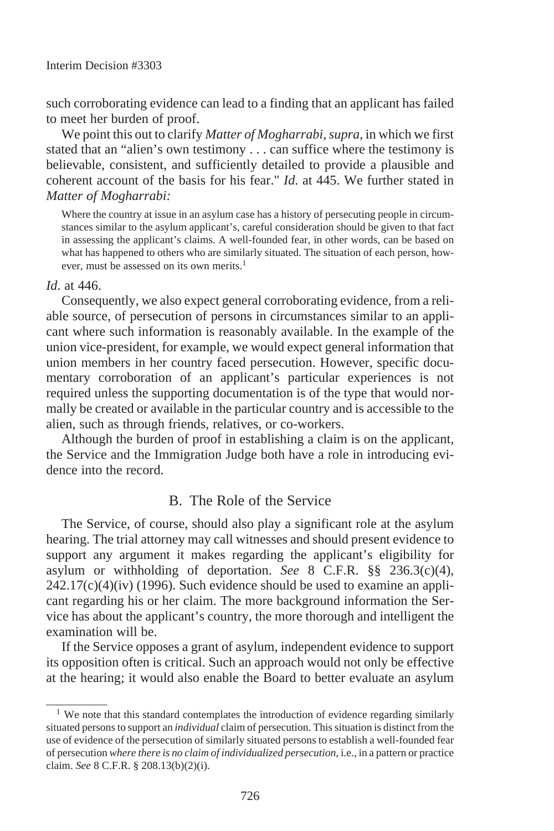such corroborating evidence can lead to a finding that an applicant has failed to meet her burden of proof.

We point this out to clarify *Matter of Mogharrabi, supra*, in which we first stated that an "alien's own testimony . . . can suffice where the testimony is believable, consistent, and sufficiently detailed to provide a plausible and coherent account of the basis for his fear." *Id*. at 445. We further stated in *Matter of Mogharrabi:*

Where the country at issue in an asylum case has a history of persecuting people in circumstances similar to the asylum applicant's, careful consideration should be given to that fact in assessing the applicant's claims. A well-founded fear, in other words, can be based on what has happened to others who are similarly situated. The situation of each person, however, must be assessed on its own merits.<sup>1</sup>

#### *Id*. at 446.

Consequently, we also expect general corroborating evidence, from a reliable source, of persecution of persons in circumstances similar to an applicant where such information is reasonably available. In the example of the union vice-president, for example, we would expect general information that union members in her country faced persecution. However, specific documentary corroboration of an applicant's particular experiences is not required unless the supporting documentation is of the type that would normally be created or available in the particular country and is accessible to the alien, such as through friends, relatives, or co-workers.

Although the burden of proof in establishing a claim is on the applicant, the Service and the Immigration Judge both have a role in introducing evidence into the record

### B. The Role of the Service

The Service, of course, should also play a significant role at the asylum hearing. The trial attorney may call witnesses and should present evidence to support any argument it makes regarding the applicant's eligibility for asylum or withholding of deportation. *See* 8 C.F.R. §§ 236.3(c)(4),  $242.17(c)(4)(iv)$  (1996). Such evidence should be used to examine an applicant regarding his or her claim. The more background information the Service has about the applicant's country, the more thorough and intelligent the examination will be.

If the Service opposes a grant of asylum, independent evidence to support its opposition often is critical. Such an approach would not only be effective at the hearing; it would also enable the Board to better evaluate an asylum

<sup>&</sup>lt;sup>1</sup> We note that this standard contemplates the introduction of evidence regarding similarly situated persons to support an *individual* claim of persecution. This situation is distinct from the use of evidence of the persecution of similarly situated persons to establish a well-founded fear of persecution *where there is no claim of individualized persecution*, i.e., in a pattern or practice claim. *See* 8 C.F.R. § 208.13(b)(2)(i).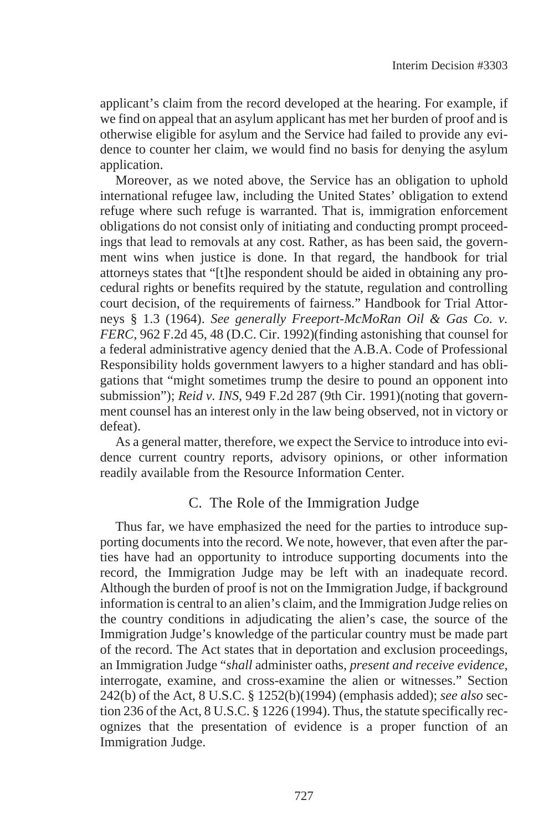applicant's claim from the record developed at the hearing. For example, if we find on appeal that an asylum applicant has met her burden of proof and is otherwise eligible for asylum and the Service had failed to provide any evidence to counter her claim, we would find no basis for denying the asylum application.

Moreover, as we noted above, the Service has an obligation to uphold international refugee law, including the United States' obligation to extend refuge where such refuge is warranted. That is, immigration enforcement obligations do not consist only of initiating and conducting prompt proceedings that lead to removals at any cost. Rather, as has been said, the government wins when justice is done. In that regard, the handbook for trial attorneys states that "[t]he respondent should be aided in obtaining any procedural rights or benefits required by the statute, regulation and controlling court decision, of the requirements of fairness." Handbook for Trial Attorneys § 1.3 (1964). *See generally Freeport-McMoRan Oil & Gas Co. v. FERC*, 962 F.2d 45, 48 (D.C. Cir. 1992)(finding astonishing that counsel for a federal administrative agency denied that the A.B.A. Code of Professional Responsibility holds government lawyers to a higher standard and has obligations that "might sometimes trump the desire to pound an opponent into submission"); *Reid v. INS*, 949 F.2d 287 (9th Cir. 1991)(noting that government counsel has an interest only in the law being observed, not in victory or defeat).

As a general matter, therefore, we expect the Service to introduce into evidence current country reports, advisory opinions, or other information readily available from the Resource Information Center.

## C. The Role of the Immigration Judge

Thus far, we have emphasized the need for the parties to introduce supporting documents into the record. We note, however, that even after the parties have had an opportunity to introduce supporting documents into the record, the Immigration Judge may be left with an inadequate record. Although the burden of proof is not on the Immigration Judge, if background information is central to an alien's claim, and the Immigration Judge relies on the country conditions in adjudicating the alien's case, the source of the Immigration Judge's knowledge of the particular country must be made part of the record. The Act states that in deportation and exclusion proceedings, an Immigration Judge "*shall* administer oaths, *present and receive evidence*, interrogate, examine, and cross-examine the alien or witnesses." Section 242(b) of the Act, 8 U.S.C. § 1252(b)(1994) (emphasis added); *see also* section 236 of the Act, 8 U.S.C. § 1226 (1994). Thus, the statute specifically recognizes that the presentation of evidence is a proper function of an Immigration Judge.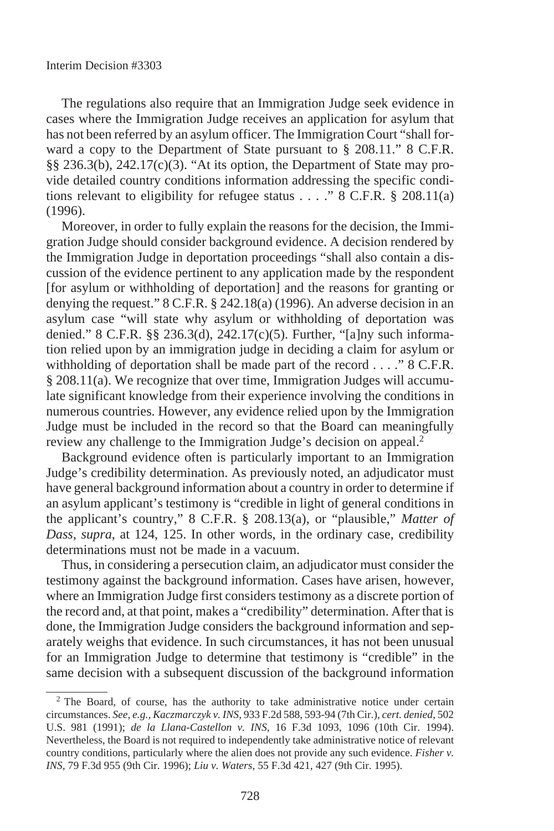The regulations also require that an Immigration Judge seek evidence in cases where the Immigration Judge receives an application for asylum that has not been referred by an asylum officer. The Immigration Court "shall forward a copy to the Department of State pursuant to § 208.11." 8 C.F.R. §§ 236.3(b), 242.17(c)(3). "At its option, the Department of State may provide detailed country conditions information addressing the specific conditions relevant to eligibility for refugee status  $\ldots$  " 8 C.F.R. § 208.11(a) (1996).

Moreover, in order to fully explain the reasons for the decision, the Immigration Judge should consider background evidence. A decision rendered by the Immigration Judge in deportation proceedings "shall also contain a discussion of the evidence pertinent to any application made by the respondent [for asylum or withholding of deportation] and the reasons for granting or denying the request." 8 C.F.R. § 242.18(a) (1996). An adverse decision in an asylum case "will state why asylum or withholding of deportation was denied." 8 C.F.R. §§ 236.3(d), 242.17(c)(5). Further, "[a]ny such information relied upon by an immigration judge in deciding a claim for asylum or withholding of deportation shall be made part of the record . . . . " 8 C.F.R. § 208.11(a). We recognize that over time, Immigration Judges will accumulate significant knowledge from their experience involving the conditions in numerous countries. However, any evidence relied upon by the Immigration Judge must be included in the record so that the Board can meaningfully review any challenge to the Immigration Judge's decision on appeal.2

Background evidence often is particularly important to an Immigration Judge's credibility determination. As previously noted, an adjudicator must have general background information about a country in order to determine if an asylum applicant's testimony is "credible in light of general conditions in the applicant's country," 8 C.F.R. § 208.13(a), or "plausible," *Matter of Dass, supra*, at 124, 125. In other words, in the ordinary case, credibility determinations must not be made in a vacuum.

Thus, in considering a persecution claim, an adjudicator must consider the testimony against the background information. Cases have arisen, however, where an Immigration Judge first considers testimony as a discrete portion of the record and, at that point, makes a "credibility" determination. After that is done, the Immigration Judge considers the background information and separately weighs that evidence. In such circumstances, it has not been unusual for an Immigration Judge to determine that testimony is "credible" in the same decision with a subsequent discussion of the background information

<sup>&</sup>lt;sup>2</sup> The Board, of course, has the authority to take administrative notice under certain circumstances. *See, e.g., Kaczmarczyk v. INS*, 933 F.2d 588, 593-94 (7th Cir.), *cert. denied*, 502 U.S. 981 (1991); *de la Llana-Castellon v. INS*, 16 F.3d 1093, 1096 (10th Cir. 1994). Nevertheless, the Board is not required to independently take administrative notice of relevant country conditions, particularly where the alien does not provide any such evidence. *Fisher v. INS,* 79 F.3d 955 (9th Cir. 1996); *Liu v. Waters*, 55 F.3d 421, 427 (9th Cir. 1995).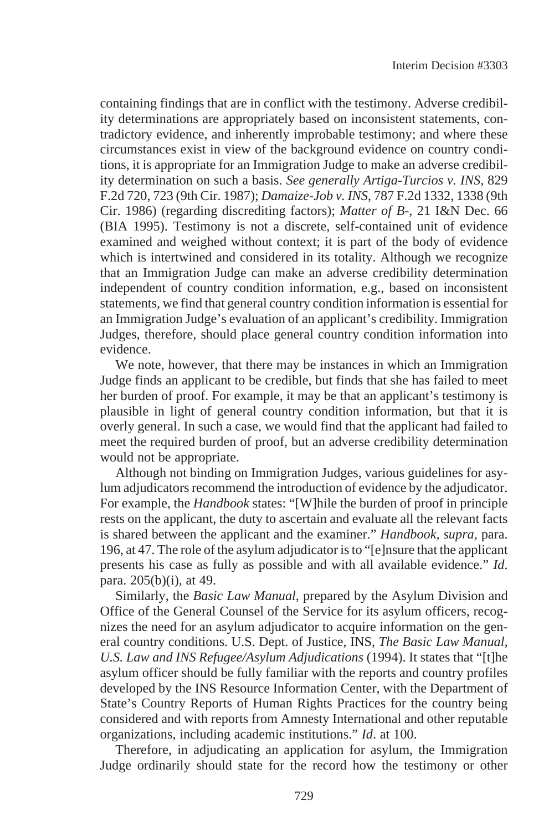containing findings that are in conflict with the testimony. Adverse credibility determinations are appropriately based on inconsistent statements, contradictory evidence, and inherently improbable testimony; and where these circumstances exist in view of the background evidence on country conditions, it is appropriate for an Immigration Judge to make an adverse credibility determination on such a basis. *See generally Artiga-Turcios v. INS*, 829 F.2d 720, 723 (9th Cir. 1987); *Damaize-Job v. INS*, 787 F.2d 1332, 1338 (9th Cir. 1986) (regarding discrediting factors); *Matter of B-*, 21 I&N Dec. 66 (BIA 1995). Testimony is not a discrete, self-contained unit of evidence examined and weighed without context; it is part of the body of evidence which is intertwined and considered in its totality. Although we recognize that an Immigration Judge can make an adverse credibility determination independent of country condition information, e.g., based on inconsistent statements, we find that general country condition information is essential for an Immigration Judge's evaluation of an applicant's credibility. Immigration Judges, therefore, should place general country condition information into evidence.

We note, however, that there may be instances in which an Immigration Judge finds an applicant to be credible, but finds that she has failed to meet her burden of proof. For example, it may be that an applicant's testimony is plausible in light of general country condition information, but that it is overly general. In such a case, we would find that the applicant had failed to meet the required burden of proof, but an adverse credibility determination would not be appropriate.

Although not binding on Immigration Judges, various guidelines for asylum adjudicators recommend the introduction of evidence by the adjudicator. For example, the *Handbook* states: "[W]hile the burden of proof in principle rests on the applicant, the duty to ascertain and evaluate all the relevant facts is shared between the applicant and the examiner." *Handbook, supra,* para. 196, at 47. The role of the asylum adjudicator is to "[e]nsure that the applicant presents his case as fully as possible and with all available evidence." *Id*. para. 205(b)(i), at 49.

Similarly, the *Basic Law Manual*, prepared by the Asylum Division and Office of the General Counsel of the Service for its asylum officers, recognizes the need for an asylum adjudicator to acquire information on the general country conditions. U.S. Dept. of Justice, INS, *The Basic Law Manual, U.S. Law and INS Refugee/Asylum Adjudications* (1994). It states that "[t]he asylum officer should be fully familiar with the reports and country profiles developed by the INS Resource Information Center, with the Department of State's Country Reports of Human Rights Practices for the country being considered and with reports from Amnesty International and other reputable organizations, including academic institutions." *Id*. at 100.

Therefore, in adjudicating an application for asylum, the Immigration Judge ordinarily should state for the record how the testimony or other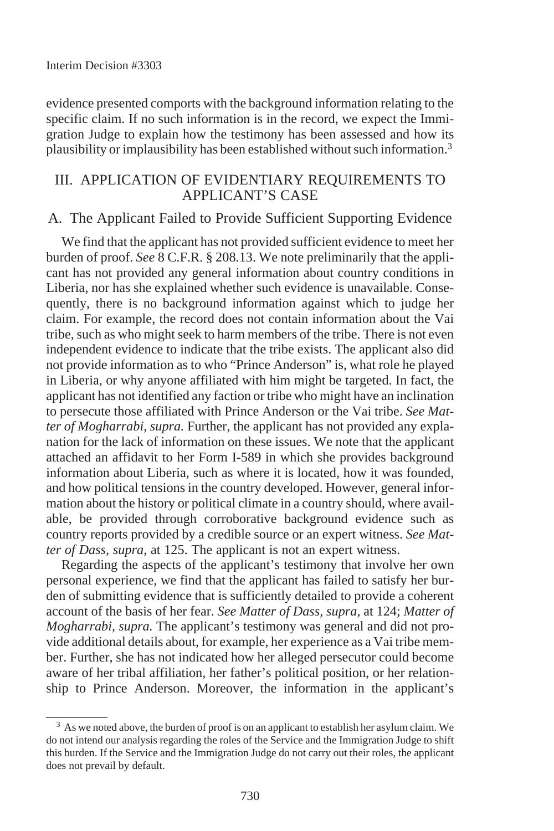evidence presented comports with the background information relating to the specific claim. If no such information is in the record, we expect the Immigration Judge to explain how the testimony has been assessed and how its plausibility or implausibility has been established without such information.3

## III. APPLICATION OF EVIDENTIARY REQUIREMENTS TO APPLICANT'S CASE

## A. The Applicant Failed to Provide Sufficient Supporting Evidence

We find that the applicant has not provided sufficient evidence to meet her burden of proof. *See* 8 C.F.R. § 208.13. We note preliminarily that the applicant has not provided any general information about country conditions in Liberia, nor has she explained whether such evidence is unavailable. Consequently, there is no background information against which to judge her claim. For example, the record does not contain information about the Vai tribe, such as who might seek to harm members of the tribe. There is not even independent evidence to indicate that the tribe exists. The applicant also did not provide information as to who "Prince Anderson" is, what role he played in Liberia, or why anyone affiliated with him might be targeted. In fact, the applicant has not identified any faction or tribe who might have an inclination to persecute those affiliated with Prince Anderson or the Vai tribe. *See Matter of Mogharrabi, supra.* Further, the applicant has not provided any explanation for the lack of information on these issues. We note that the applicant attached an affidavit to her Form I-589 in which she provides background information about Liberia, such as where it is located, how it was founded, and how political tensions in the country developed. However, general information about the history or political climate in a country should, where available, be provided through corroborative background evidence such as country reports provided by a credible source or an expert witness. *See Matter of Dass, supra,* at 125. The applicant is not an expert witness.

Regarding the aspects of the applicant's testimony that involve her own personal experience, we find that the applicant has failed to satisfy her burden of submitting evidence that is sufficiently detailed to provide a coherent account of the basis of her fear. *See Matter of Dass, supra*, at 124; *Matter of Mogharrabi, supra.* The applicant's testimony was general and did not provide additional details about, for example, her experience as a Vai tribe member. Further, she has not indicated how her alleged persecutor could become aware of her tribal affiliation, her father's political position, or her relationship to Prince Anderson. Moreover, the information in the applicant's

<sup>&</sup>lt;sup>3</sup> As we noted above, the burden of proof is on an applicant to establish her asylum claim. We do not intend our analysis regarding the roles of the Service and the Immigration Judge to shift this burden. If the Service and the Immigration Judge do not carry out their roles, the applicant does not prevail by default.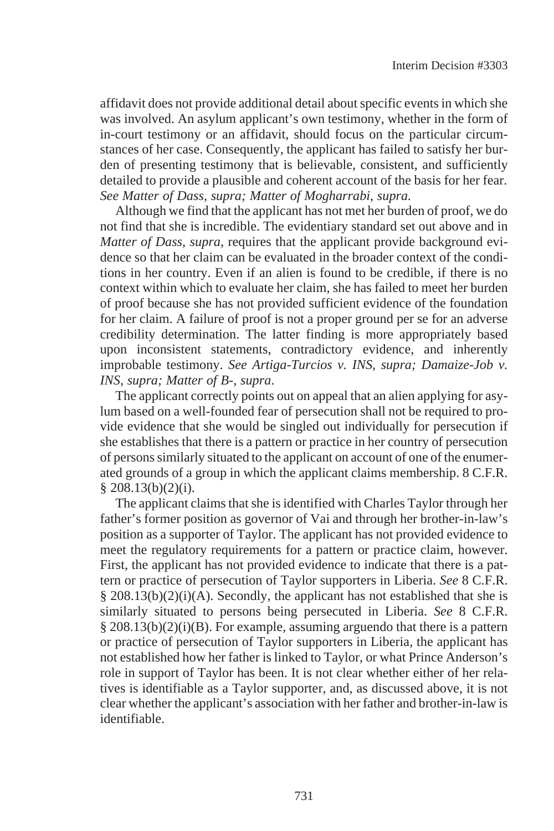affidavit does not provide additional detail about specific events in which she was involved. An asylum applicant's own testimony, whether in the form of in-court testimony or an affidavit, should focus on the particular circumstances of her case. Consequently, the applicant has failed to satisfy her burden of presenting testimony that is believable, consistent, and sufficiently detailed to provide a plausible and coherent account of the basis for her fear. *See Matter of Dass, supra; Matter of Mogharrabi, supra.*

Although we find that the applicant has not met her burden of proof, we do not find that she is incredible. The evidentiary standard set out above and in *Matter of Dass, supra*, requires that the applicant provide background evidence so that her claim can be evaluated in the broader context of the conditions in her country. Even if an alien is found to be credible, if there is no context within which to evaluate her claim, she has failed to meet her burden of proof because she has not provided sufficient evidence of the foundation for her claim. A failure of proof is not a proper ground per se for an adverse credibility determination. The latter finding is more appropriately based upon inconsistent statements, contradictory evidence, and inherently improbable testimony. *See Artiga-Turcios v. INS, supra; Damaize-Job v. INS, supra; Matter of B-, supra*.

The applicant correctly points out on appeal that an alien applying for asylum based on a well-founded fear of persecution shall not be required to provide evidence that she would be singled out individually for persecution if she establishes that there is a pattern or practice in her country of persecution of persons similarly situated to the applicant on account of one of the enumerated grounds of a group in which the applicant claims membership. 8 C.F.R.  $§$  208.13(b)(2)(i).

The applicant claims that she is identified with Charles Taylor through her father's former position as governor of Vai and through her brother-in-law's position as a supporter of Taylor. The applicant has not provided evidence to meet the regulatory requirements for a pattern or practice claim, however. First, the applicant has not provided evidence to indicate that there is a pattern or practice of persecution of Taylor supporters in Liberia. *See* 8 C.F.R.  $§$  208.13(b)(2)(i)(A). Secondly, the applicant has not established that she is similarly situated to persons being persecuted in Liberia. *See* 8 C.F.R. § 208.13(b)(2)(i)(B). For example, assuming arguendo that there is a pattern or practice of persecution of Taylor supporters in Liberia, the applicant has not established how her father is linked to Taylor, or what Prince Anderson's role in support of Taylor has been. It is not clear whether either of her relatives is identifiable as a Taylor supporter, and, as discussed above, it is not clear whether the applicant's association with her father and brother-in-law is identifiable.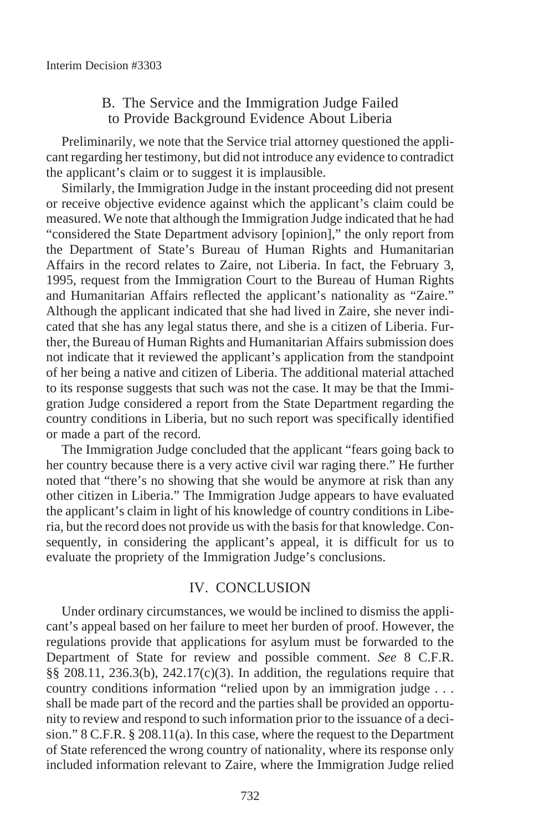## B. The Service and the Immigration Judge Failed to Provide Background Evidence About Liberia

Preliminarily, we note that the Service trial attorney questioned the applicant regarding her testimony, but did not introduce any evidence to contradict the applicant's claim or to suggest it is implausible.

Similarly, the Immigration Judge in the instant proceeding did not present or receive objective evidence against which the applicant's claim could be measured. We note that although the Immigration Judge indicated that he had "considered the State Department advisory [opinion]," the only report from the Department of State's Bureau of Human Rights and Humanitarian Affairs in the record relates to Zaire, not Liberia. In fact, the February 3, 1995, request from the Immigration Court to the Bureau of Human Rights and Humanitarian Affairs reflected the applicant's nationality as "Zaire." Although the applicant indicated that she had lived in Zaire, she never indicated that she has any legal status there, and she is a citizen of Liberia. Further, the Bureau of Human Rights and Humanitarian Affairs submission does not indicate that it reviewed the applicant's application from the standpoint of her being a native and citizen of Liberia. The additional material attached to its response suggests that such was not the case. It may be that the Immigration Judge considered a report from the State Department regarding the country conditions in Liberia, but no such report was specifically identified or made a part of the record.

The Immigration Judge concluded that the applicant "fears going back to her country because there is a very active civil war raging there." He further noted that "there's no showing that she would be anymore at risk than any other citizen in Liberia." The Immigration Judge appears to have evaluated the applicant's claim in light of his knowledge of country conditions in Liberia, but the record does not provide us with the basis for that knowledge. Consequently, in considering the applicant's appeal, it is difficult for us to evaluate the propriety of the Immigration Judge's conclusions.

### IV. CONCLUSION

Under ordinary circumstances, we would be inclined to dismiss the applicant's appeal based on her failure to meet her burden of proof. However, the regulations provide that applications for asylum must be forwarded to the Department of State for review and possible comment. *See* 8 C.F.R. §§ 208.11, 236.3(b), 242.17(c)(3). In addition, the regulations require that country conditions information "relied upon by an immigration judge . . . shall be made part of the record and the parties shall be provided an opportunity to review and respond to such information prior to the issuance of a decision." 8 C.F.R. § 208.11(a). In this case, where the request to the Department of State referenced the wrong country of nationality, where its response only included information relevant to Zaire, where the Immigration Judge relied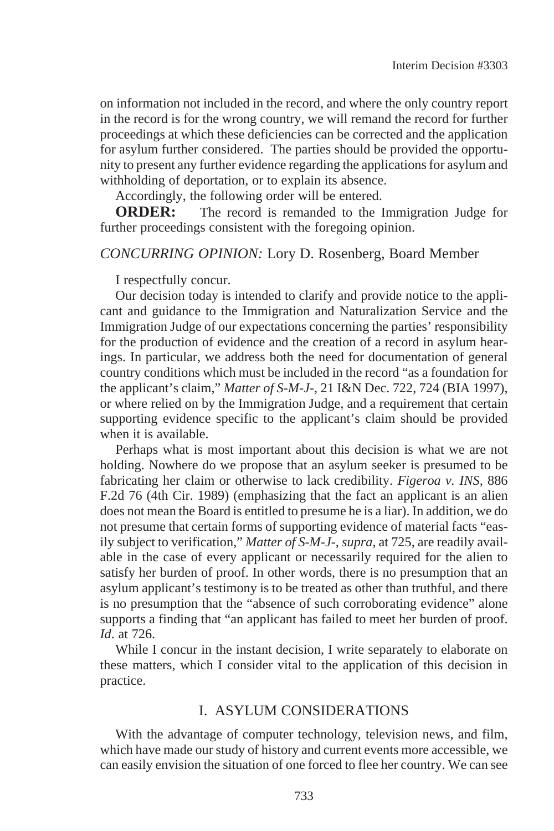on information not included in the record, and where the only country report in the record is for the wrong country, we will remand the record for further proceedings at which these deficiencies can be corrected and the application for asylum further considered. The parties should be provided the opportunity to present any further evidence regarding the applications for asylum and withholding of deportation, or to explain its absence.

Accordingly, the following order will be entered.

**ORDER:** The record is remanded to the Immigration Judge for further proceedings consistent with the foregoing opinion.

### *CONCURRING OPINION:* Lory D. Rosenberg, Board Member

I respectfully concur.

Our decision today is intended to clarify and provide notice to the applicant and guidance to the Immigration and Naturalization Service and the Immigration Judge of our expectations concerning the parties' responsibility for the production of evidence and the creation of a record in asylum hearings. In particular, we address both the need for documentation of general country conditions which must be included in the record "as a foundation for the applicant's claim," *Matter of S-M-J-,* 21 I&N Dec. 722, 724 (BIA 1997), or where relied on by the Immigration Judge, and a requirement that certain supporting evidence specific to the applicant's claim should be provided when it is available.

Perhaps what is most important about this decision is what we are not holding. Nowhere do we propose that an asylum seeker is presumed to be fabricating her claim or otherwise to lack credibility. *Figeroa v. INS,* 886 F.2d 76 (4th Cir. 1989) (emphasizing that the fact an applicant is an alien does not mean the Board is entitled to presume he is a liar). In addition, we do not presume that certain forms of supporting evidence of material facts "easily subject to verification," *Matter of S-M-J-, supra*, at 725, are readily available in the case of every applicant or necessarily required for the alien to satisfy her burden of proof. In other words, there is no presumption that an asylum applicant's testimony is to be treated as other than truthful, and there is no presumption that the "absence of such corroborating evidence" alone supports a finding that "an applicant has failed to meet her burden of proof. *Id*. at 726.

While I concur in the instant decision, I write separately to elaborate on these matters, which I consider vital to the application of this decision in practice.

#### I. ASYLUM CONSIDERATIONS

With the advantage of computer technology, television news, and film, which have made our study of history and current events more accessible, we can easily envision the situation of one forced to flee her country. We can see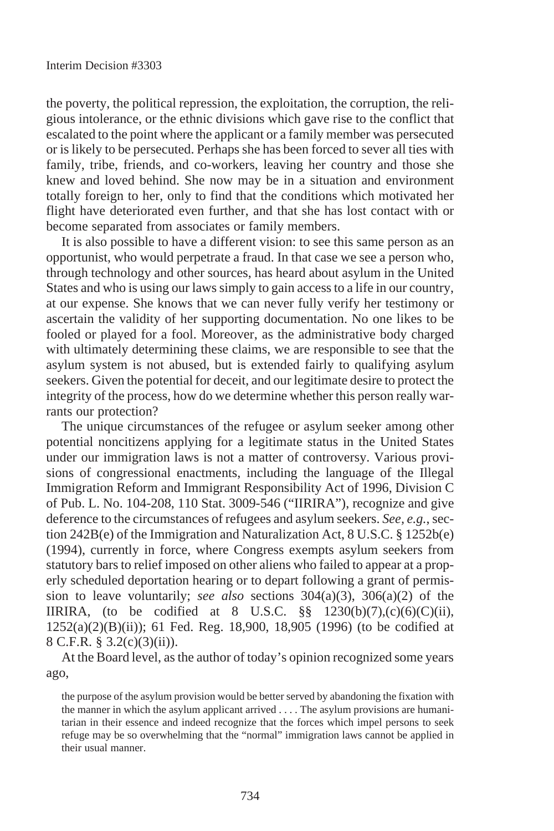the poverty, the political repression, the exploitation, the corruption, the religious intolerance, or the ethnic divisions which gave rise to the conflict that escalated to the point where the applicant or a family member was persecuted or is likely to be persecuted. Perhaps she has been forced to sever all ties with family, tribe, friends, and co-workers, leaving her country and those she knew and loved behind. She now may be in a situation and environment totally foreign to her, only to find that the conditions which motivated her flight have deteriorated even further, and that she has lost contact with or become separated from associates or family members.

It is also possible to have a different vision: to see this same person as an opportunist, who would perpetrate a fraud. In that case we see a person who, through technology and other sources, has heard about asylum in the United States and who is using our laws simply to gain access to a life in our country, at our expense. She knows that we can never fully verify her testimony or ascertain the validity of her supporting documentation. No one likes to be fooled or played for a fool. Moreover, as the administrative body charged with ultimately determining these claims, we are responsible to see that the asylum system is not abused, but is extended fairly to qualifying asylum seekers. Given the potential for deceit, and our legitimate desire to protect the integrity of the process, how do we determine whether this person really warrants our protection?

The unique circumstances of the refugee or asylum seeker among other potential noncitizens applying for a legitimate status in the United States under our immigration laws is not a matter of controversy. Various provisions of congressional enactments, including the language of the Illegal Immigration Reform and Immigrant Responsibility Act of 1996, Division C of Pub. L. No. 104-208, 110 Stat. 3009-546 ("IIRIRA"), recognize and give deference to the circumstances of refugees and asylum seekers. *See, e.g.*, section 242B(e) of the Immigration and Naturalization Act, 8 U.S.C. § 1252b(e) (1994), currently in force, where Congress exempts asylum seekers from statutory bars to relief imposed on other aliens who failed to appear at a properly scheduled deportation hearing or to depart following a grant of permission to leave voluntarily; *see also* sections 304(a)(3), 306(a)(2) of the IIRIRA, (to be codified at 8 U.S.C.  $\S$ § 1230(b)(7),(c)(6)(C)(ii), 1252(a)(2)(B)(ii)); 61 Fed. Reg. 18,900, 18,905 (1996) (to be codified at 8 C.F.R. § 3.2(c)(3)(ii)).

At the Board level, as the author of today's opinion recognized some years ago,

the purpose of the asylum provision would be better served by abandoning the fixation with the manner in which the asylum applicant arrived . . . . The asylum provisions are humanitarian in their essence and indeed recognize that the forces which impel persons to seek refuge may be so overwhelming that the "normal" immigration laws cannot be applied in their usual manner.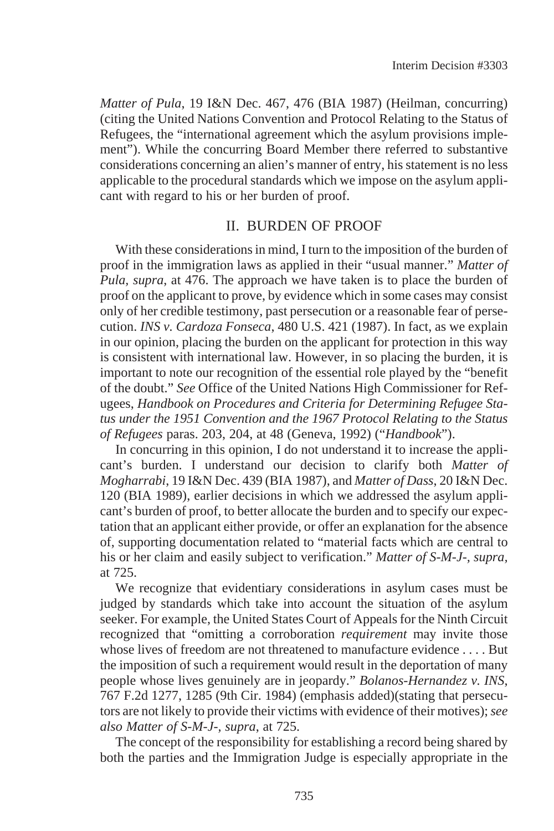*Matter of Pula*, 19 I&N Dec. 467, 476 (BIA 1987) (Heilman, concurring) (citing the United Nations Convention and Protocol Relating to the Status of Refugees, the "international agreement which the asylum provisions implement"). While the concurring Board Member there referred to substantive considerations concerning an alien's manner of entry, his statement is no less applicable to the procedural standards which we impose on the asylum applicant with regard to his or her burden of proof.

## II. BURDEN OF PROOF

With these considerations in mind, I turn to the imposition of the burden of proof in the immigration laws as applied in their "usual manner." *Matter of Pula, supra*, at 476. The approach we have taken is to place the burden of proof on the applicant to prove, by evidence which in some cases may consist only of her credible testimony, past persecution or a reasonable fear of persecution. *INS v. Cardoza Fonseca*, 480 U.S. 421 (1987). In fact, as we explain in our opinion, placing the burden on the applicant for protection in this way is consistent with international law. However, in so placing the burden, it is important to note our recognition of the essential role played by the "benefit of the doubt." *See* Office of the United Nations High Commissioner for Refugees, *Handbook on Procedures and Criteria for Determining Refugee Status under the 1951 Convention and the 1967 Protocol Relating to the Status of Refugees* paras. 203, 204, at 48 (Geneva, 1992) ("*Handbook*").

In concurring in this opinion, I do not understand it to increase the applicant's burden. I understand our decision to clarify both *Matter of Mogharrabi*, 19 I&N Dec. 439 (BIA 1987), and *Matter of Dass*, 20 I&N Dec. 120 (BIA 1989), earlier decisions in which we addressed the asylum applicant's burden of proof, to better allocate the burden and to specify our expectation that an applicant either provide, or offer an explanation for the absence of, supporting documentation related to "material facts which are central to his or her claim and easily subject to verification." *Matter of S-M-J-, supra,* at 725.

We recognize that evidentiary considerations in asylum cases must be judged by standards which take into account the situation of the asylum seeker. For example, the United States Court of Appeals for the Ninth Circuit recognized that "omitting a corroboration *requirement* may invite those whose lives of freedom are not threatened to manufacture evidence . . . . But the imposition of such a requirement would result in the deportation of many people whose lives genuinely are in jeopardy." *Bolanos-Hernandez v. INS*, 767 F.2d 1277, 1285 (9th Cir. 1984) (emphasis added)(stating that persecutors are not likely to provide their victims with evidence of their motives);*see also Matter of S-M-J-, supra*, at 725.

The concept of the responsibility for establishing a record being shared by both the parties and the Immigration Judge is especially appropriate in the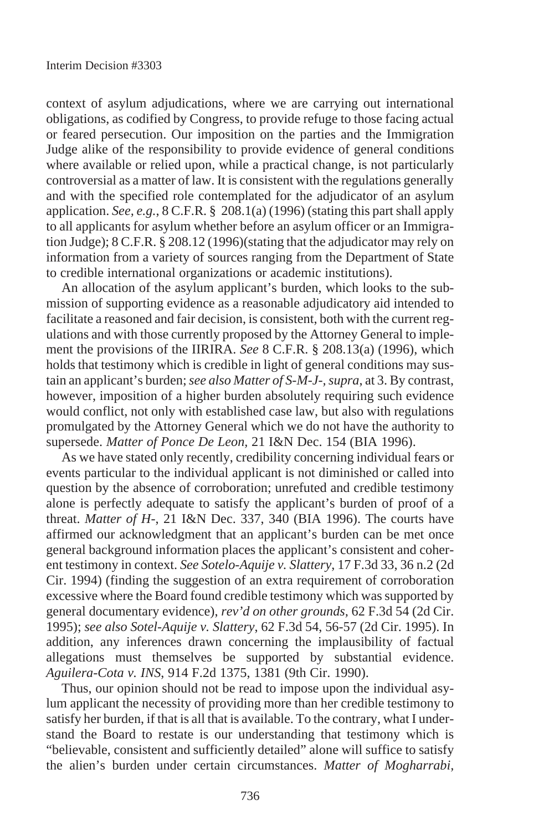context of asylum adjudications, where we are carrying out international obligations, as codified by Congress, to provide refuge to those facing actual or feared persecution. Our imposition on the parties and the Immigration Judge alike of the responsibility to provide evidence of general conditions where available or relied upon, while a practical change, is not particularly controversial as a matter of law. It is consistent with the regulations generally and with the specified role contemplated for the adjudicator of an asylum application. *See, e.g.*, 8 C.F.R. § 208.1(a) (1996) (stating this part shall apply to all applicants for asylum whether before an asylum officer or an Immigration Judge); 8 C.F.R. § 208.12 (1996)(stating that the adjudicator may rely on information from a variety of sources ranging from the Department of State to credible international organizations or academic institutions).

An allocation of the asylum applicant's burden, which looks to the submission of supporting evidence as a reasonable adjudicatory aid intended to facilitate a reasoned and fair decision, is consistent, both with the current regulations and with those currently proposed by the Attorney General to implement the provisions of the IIRIRA. *See* 8 C.F.R. § 208.13(a) (1996), which holds that testimony which is credible in light of general conditions may sustain an applicant's burden;*see also Matter of S-M-J-, supra*, at 3. By contrast, however, imposition of a higher burden absolutely requiring such evidence would conflict, not only with established case law, but also with regulations promulgated by the Attorney General which we do not have the authority to supersede. *Matter of Ponce De Leon,* 21 I&N Dec. 154 (BIA 1996).

As we have stated only recently, credibility concerning individual fears or events particular to the individual applicant is not diminished or called into question by the absence of corroboration; unrefuted and credible testimony alone is perfectly adequate to satisfy the applicant's burden of proof of a threat. *Matter of H-*, 21 I&N Dec. 337, 340 (BIA 1996). The courts have affirmed our acknowledgment that an applicant's burden can be met once general background information places the applicant's consistent and coherent testimony in context. *See Sotelo-Aquije v. Slattery*, 17 F.3d 33, 36 n.2 (2d Cir. 1994) (finding the suggestion of an extra requirement of corroboration excessive where the Board found credible testimony which was supported by general documentary evidence), *rev'd on other grounds,* 62 F.3d 54 (2d Cir. 1995); *see also Sotel-Aquije v. Slattery*, 62 F.3d 54, 56-57 (2d Cir. 1995). In addition, any inferences drawn concerning the implausibility of factual allegations must themselves be supported by substantial evidence. *Aguilera-Cota v. INS*, 914 F.2d 1375, 1381 (9th Cir. 1990).

Thus, our opinion should not be read to impose upon the individual asylum applicant the necessity of providing more than her credible testimony to satisfy her burden, if that is all that is available. To the contrary, what I understand the Board to restate is our understanding that testimony which is "believable, consistent and sufficiently detailed" alone will suffice to satisfy the alien's burden under certain circumstances. *Matter of Mogharrabi,*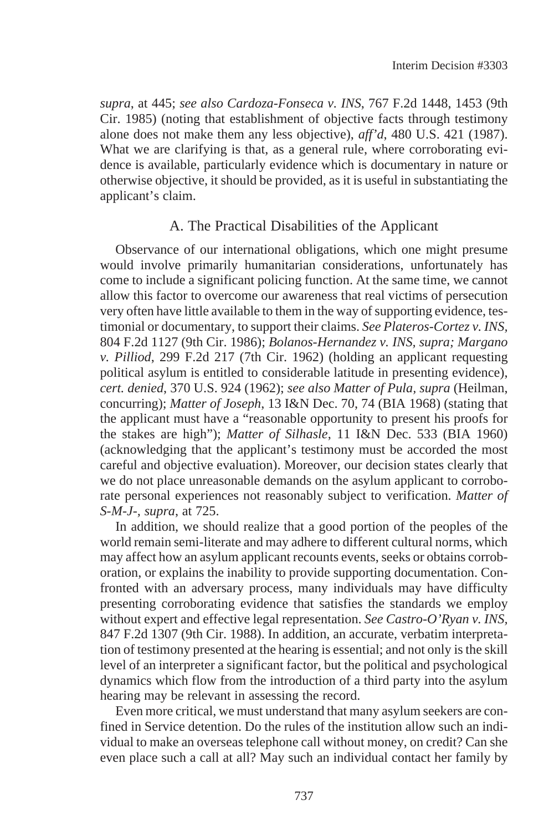*supra*, at 445; *see also Cardoza-Fonseca v. INS*, 767 F.2d 1448, 1453 (9th Cir. 1985) (noting that establishment of objective facts through testimony alone does not make them any less objective), *aff'd*, 480 U.S. 421 (1987). What we are clarifying is that, as a general rule, where corroborating evidence is available, particularly evidence which is documentary in nature or otherwise objective, it should be provided, as it is useful in substantiating the applicant's claim.

### A. The Practical Disabilities of the Applicant

Observance of our international obligations, which one might presume would involve primarily humanitarian considerations, unfortunately has come to include a significant policing function. At the same time, we cannot allow this factor to overcome our awareness that real victims of persecution very often have little available to them in the way of supporting evidence, testimonial or documentary, to support their claims. *See Plateros-Cortez v. INS,* 804 F.2d 1127 (9th Cir. 1986); *Bolanos-Hernandez v. INS, supra; Margano v. Pilliod*, 299 F.2d 217 (7th Cir. 1962) (holding an applicant requesting political asylum is entitled to considerable latitude in presenting evidence), *cert. denied*, 370 U.S. 924 (1962); *see also Matter of Pula, supra* (Heilman, concurring); *Matter of Joseph*, 13 I&N Dec. 70, 74 (BIA 1968) (stating that the applicant must have a "reasonable opportunity to present his proofs for the stakes are high"); *Matter of Silhasle*, 11 I&N Dec. 533 (BIA 1960) (acknowledging that the applicant's testimony must be accorded the most careful and objective evaluation). Moreover, our decision states clearly that we do not place unreasonable demands on the asylum applicant to corroborate personal experiences not reasonably subject to verification. *Matter of S-M-J-, supra*, at 725.

In addition, we should realize that a good portion of the peoples of the world remain semi-literate and may adhere to different cultural norms, which may affect how an asylum applicant recounts events, seeks or obtains corroboration, or explains the inability to provide supporting documentation. Confronted with an adversary process, many individuals may have difficulty presenting corroborating evidence that satisfies the standards we employ without expert and effective legal representation. *See Castro-O'Ryan v. INS,* 847 F.2d 1307 (9th Cir. 1988). In addition, an accurate, verbatim interpretation of testimony presented at the hearing is essential; and not only is the skill level of an interpreter a significant factor, but the political and psychological dynamics which flow from the introduction of a third party into the asylum hearing may be relevant in assessing the record.

Even more critical, we must understand that many asylum seekers are confined in Service detention. Do the rules of the institution allow such an individual to make an overseas telephone call without money, on credit? Can she even place such a call at all? May such an individual contact her family by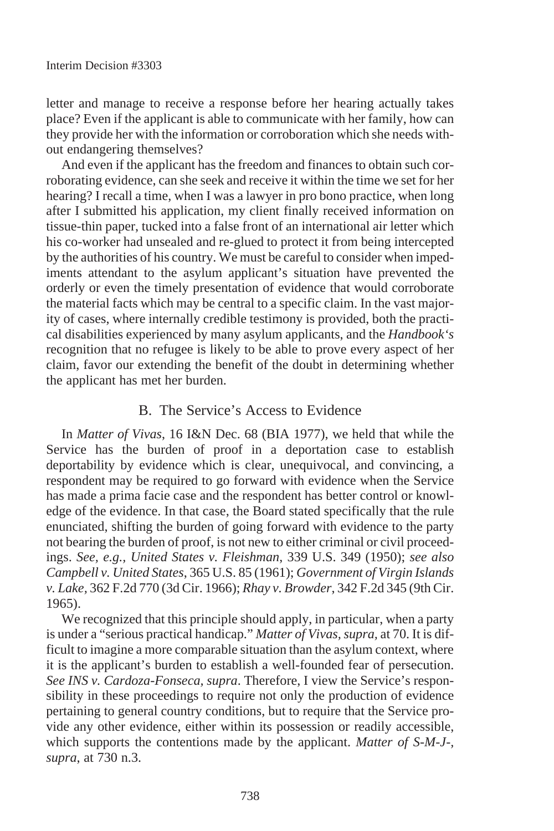letter and manage to receive a response before her hearing actually takes place? Even if the applicant is able to communicate with her family, how can they provide her with the information or corroboration which she needs without endangering themselves?

And even if the applicant has the freedom and finances to obtain such corroborating evidence, can she seek and receive it within the time we set for her hearing? I recall a time, when I was a lawyer in pro bono practice, when long after I submitted his application, my client finally received information on tissue-thin paper, tucked into a false front of an international air letter which his co-worker had unsealed and re-glued to protect it from being intercepted by the authorities of his country. We must be careful to consider when impediments attendant to the asylum applicant's situation have prevented the orderly or even the timely presentation of evidence that would corroborate the material facts which may be central to a specific claim. In the vast majority of cases, where internally credible testimony is provided, both the practical disabilities experienced by many asylum applicants, and the *Handbook's* recognition that no refugee is likely to be able to prove every aspect of her claim, favor our extending the benefit of the doubt in determining whether the applicant has met her burden.

## B. The Service's Access to Evidence

In *Matter of Vivas*, 16 I&N Dec. 68 (BIA 1977), we held that while the Service has the burden of proof in a deportation case to establish deportability by evidence which is clear, unequivocal, and convincing, a respondent may be required to go forward with evidence when the Service has made a prima facie case and the respondent has better control or knowledge of the evidence. In that case, the Board stated specifically that the rule enunciated, shifting the burden of going forward with evidence to the party not bearing the burden of proof, is not new to either criminal or civil proceedings. *See, e.g., United States v. Fleishman*, 339 U.S. 349 (1950); *see also Campbell v. United States*, 365 U.S. 85 (1961); *Government of Virgin Islands v. Lake,* 362 F.2d 770 (3d Cir. 1966); *Rhay v. Browder*, 342 F.2d 345 (9th Cir. 1965).

We recognized that this principle should apply, in particular, when a party is under a "serious practical handicap." *Matter of Vivas, supra,* at 70. It is difficult to imagine a more comparable situation than the asylum context, where it is the applicant's burden to establish a well-founded fear of persecution. *See INS v. Cardoza-Fonseca, supra*. Therefore, I view the Service's responsibility in these proceedings to require not only the production of evidence pertaining to general country conditions, but to require that the Service provide any other evidence, either within its possession or readily accessible, which supports the contentions made by the applicant. *Matter of S-M-J-, supra*, at 730 n.3.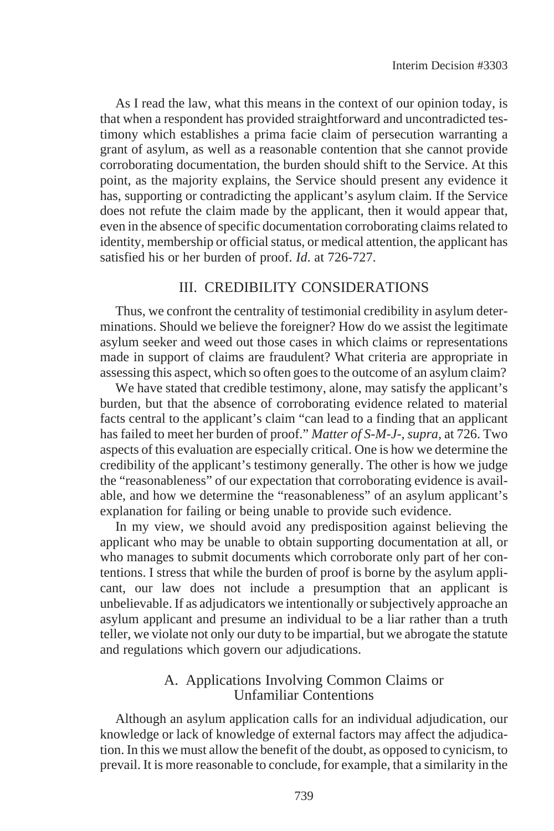As I read the law, what this means in the context of our opinion today, is that when a respondent has provided straightforward and uncontradicted testimony which establishes a prima facie claim of persecution warranting a grant of asylum, as well as a reasonable contention that she cannot provide corroborating documentation, the burden should shift to the Service. At this point, as the majority explains, the Service should present any evidence it has, supporting or contradicting the applicant's asylum claim. If the Service does not refute the claim made by the applicant, then it would appear that, even in the absence of specific documentation corroborating claims related to identity, membership or official status, or medical attention, the applicant has satisfied his or her burden of proof. *Id*. at 726-727.

### III. CREDIBILITY CONSIDERATIONS

Thus, we confront the centrality of testimonial credibility in asylum determinations. Should we believe the foreigner? How do we assist the legitimate asylum seeker and weed out those cases in which claims or representations made in support of claims are fraudulent? What criteria are appropriate in assessing this aspect, which so often goes to the outcome of an asylum claim?

We have stated that credible testimony, alone, may satisfy the applicant's burden, but that the absence of corroborating evidence related to material facts central to the applicant's claim "can lead to a finding that an applicant has failed to meet her burden of proof." *Matter of S-M-J-, supra,* at 726. Two aspects of this evaluation are especially critical. One is how we determine the credibility of the applicant's testimony generally. The other is how we judge the "reasonableness" of our expectation that corroborating evidence is available, and how we determine the "reasonableness" of an asylum applicant's explanation for failing or being unable to provide such evidence.

In my view, we should avoid any predisposition against believing the applicant who may be unable to obtain supporting documentation at all, or who manages to submit documents which corroborate only part of her contentions. I stress that while the burden of proof is borne by the asylum applicant, our law does not include a presumption that an applicant is unbelievable. If as adjudicators we intentionally or subjectively approache an asylum applicant and presume an individual to be a liar rather than a truth teller, we violate not only our duty to be impartial, but we abrogate the statute and regulations which govern our adjudications.

## A. Applications Involving Common Claims or Unfamiliar Contentions

Although an asylum application calls for an individual adjudication, our knowledge or lack of knowledge of external factors may affect the adjudication. In this we must allow the benefit of the doubt, as opposed to cynicism, to prevail. It is more reasonable to conclude, for example, that a similarity in the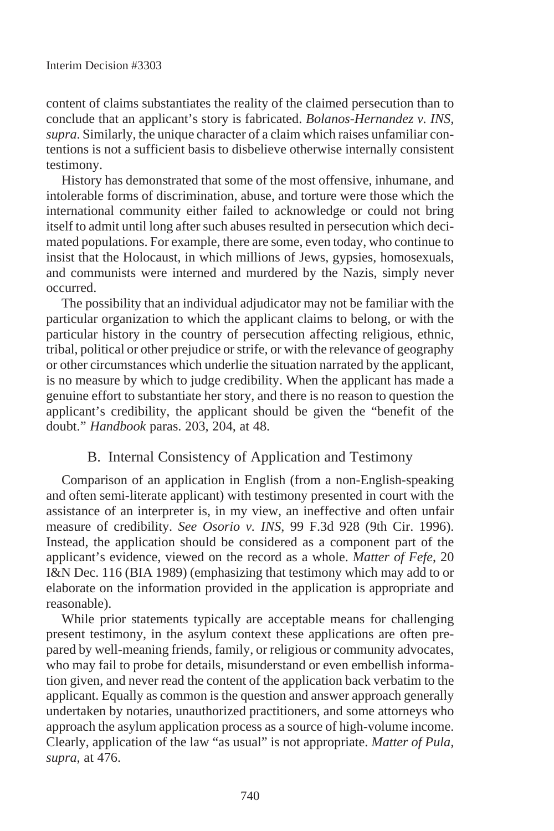content of claims substantiates the reality of the claimed persecution than to conclude that an applicant's story is fabricated. *Bolanos-Hernandez v. INS, supra*. Similarly, the unique character of a claim which raises unfamiliar contentions is not a sufficient basis to disbelieve otherwise internally consistent testimony.

History has demonstrated that some of the most offensive, inhumane, and intolerable forms of discrimination, abuse, and torture were those which the international community either failed to acknowledge or could not bring itself to admit until long after such abuses resulted in persecution which decimated populations. For example, there are some, even today, who continue to insist that the Holocaust, in which millions of Jews, gypsies, homosexuals, and communists were interned and murdered by the Nazis, simply never occurred.

The possibility that an individual adjudicator may not be familiar with the particular organization to which the applicant claims to belong, or with the particular history in the country of persecution affecting religious, ethnic, tribal, political or other prejudice or strife, or with the relevance of geography or other circumstances which underlie the situation narrated by the applicant, is no measure by which to judge credibility. When the applicant has made a genuine effort to substantiate her story, and there is no reason to question the applicant's credibility, the applicant should be given the "benefit of the doubt." *Handbook* paras. 203, 204, at 48.

# B. Internal Consistency of Application and Testimony

Comparison of an application in English (from a non-English-speaking and often semi-literate applicant) with testimony presented in court with the assistance of an interpreter is, in my view, an ineffective and often unfair measure of credibility. *See Osorio v. INS*, 99 F.3d 928 (9th Cir. 1996). Instead, the application should be considered as a component part of the applicant's evidence, viewed on the record as a whole. *Matter of Fefe*, 20 I&N Dec. 116 (BIA 1989) (emphasizing that testimony which may add to or elaborate on the information provided in the application is appropriate and reasonable).

While prior statements typically are acceptable means for challenging present testimony, in the asylum context these applications are often prepared by well-meaning friends, family, or religious or community advocates, who may fail to probe for details, misunderstand or even embellish information given, and never read the content of the application back verbatim to the applicant. Equally as common is the question and answer approach generally undertaken by notaries, unauthorized practitioners, and some attorneys who approach the asylum application process as a source of high-volume income. Clearly, application of the law "as usual" is not appropriate. *Matter of Pula, supra*, at 476.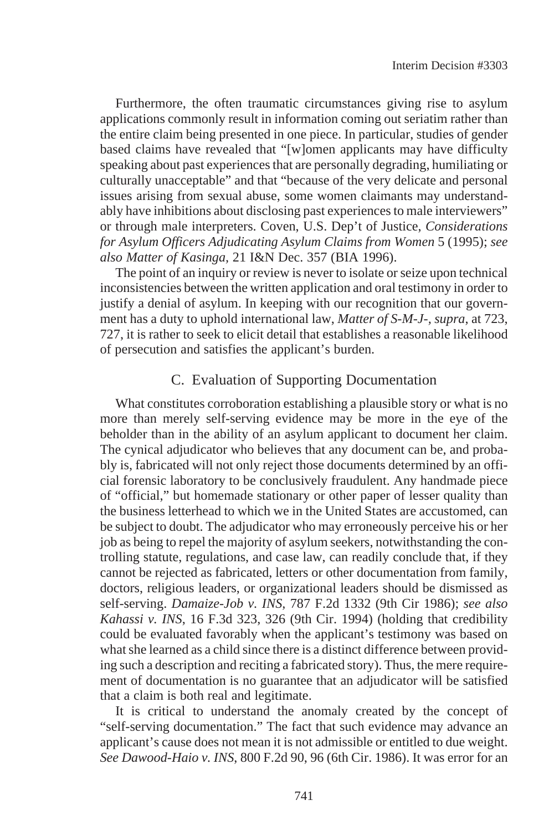Furthermore, the often traumatic circumstances giving rise to asylum applications commonly result in information coming out seriatim rather than the entire claim being presented in one piece. In particular, studies of gender based claims have revealed that "[w]omen applicants may have difficulty speaking about past experiences that are personally degrading, humiliating or culturally unacceptable" and that "because of the very delicate and personal issues arising from sexual abuse, some women claimants may understandably have inhibitions about disclosing past experiences to male interviewers" or through male interpreters. Coven, U.S. Dep't of Justice, *Considerations for Asylum Officers Adjudicating Asylum Claims from Women* 5 (1995); *see also Matter of Kasinga,* 21 I&N Dec. 357 (BIA 1996).

The point of an inquiry or review is never to isolate or seize upon technical inconsistencies between the written application and oral testimony in order to justify a denial of asylum. In keeping with our recognition that our government has a duty to uphold international law, *Matter of S-M-J-, supra*, at 723, 727, it is rather to seek to elicit detail that establishes a reasonable likelihood of persecution and satisfies the applicant's burden.

## C. Evaluation of Supporting Documentation

What constitutes corroboration establishing a plausible story or what is no more than merely self-serving evidence may be more in the eye of the beholder than in the ability of an asylum applicant to document her claim. The cynical adjudicator who believes that any document can be, and probably is, fabricated will not only reject those documents determined by an official forensic laboratory to be conclusively fraudulent. Any handmade piece of "official," but homemade stationary or other paper of lesser quality than the business letterhead to which we in the United States are accustomed, can be subject to doubt. The adjudicator who may erroneously perceive his or her job as being to repel the majority of asylum seekers, notwithstanding the controlling statute, regulations, and case law, can readily conclude that, if they cannot be rejected as fabricated, letters or other documentation from family, doctors, religious leaders, or organizational leaders should be dismissed as self-serving. *Damaize-Job v. INS,* 787 F.2d 1332 (9th Cir 1986); *see also Kahassi v. INS*, 16 F.3d 323, 326 (9th Cir. 1994) (holding that credibility could be evaluated favorably when the applicant's testimony was based on what she learned as a child since there is a distinct difference between providing such a description and reciting a fabricated story). Thus, the mere requirement of documentation is no guarantee that an adjudicator will be satisfied that a claim is both real and legitimate.

It is critical to understand the anomaly created by the concept of "self-serving documentation." The fact that such evidence may advance an applicant's cause does not mean it is not admissible or entitled to due weight. *See Dawood-Haio v. INS*, 800 F.2d 90, 96 (6th Cir. 1986). It was error for an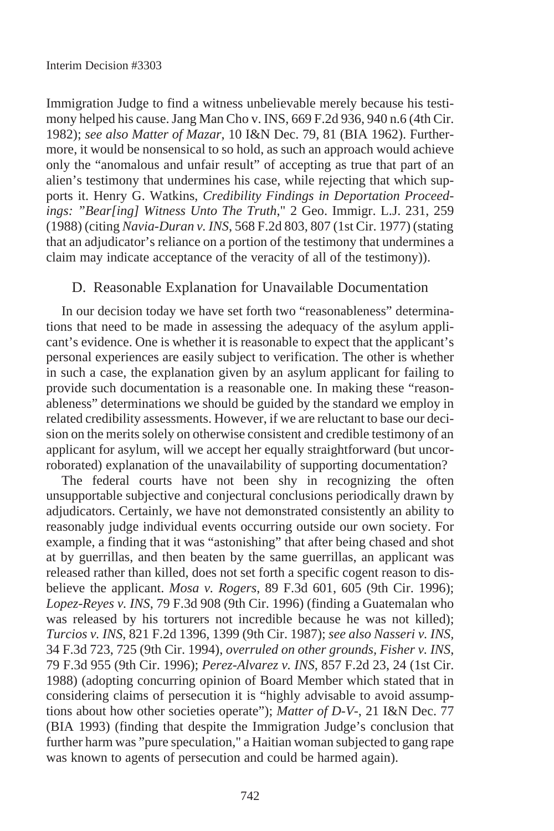Immigration Judge to find a witness unbelievable merely because his testimony helped his cause. Jang Man Cho v. INS, 669 F.2d 936, 940 n.6 (4th Cir. 1982); *see also Matter of Mazar*, 10 I&N Dec. 79, 81 (BIA 1962). Furthermore, it would be nonsensical to so hold, as such an approach would achieve only the "anomalous and unfair result" of accepting as true that part of an alien's testimony that undermines his case, while rejecting that which supports it. Henry G. Watkins, *Credibility Findings in Deportation Proceedings: "Bear[ing] Witness Unto The Truth*," 2 Geo. Immigr. L.J. 231, 259 (1988) (citing *Navia-Duran v. INS*, 568 F.2d 803, 807 (1st Cir. 1977) (stating that an adjudicator's reliance on a portion of the testimony that undermines a claim may indicate acceptance of the veracity of all of the testimony)).

## D. Reasonable Explanation for Unavailable Documentation

In our decision today we have set forth two "reasonableness" determinations that need to be made in assessing the adequacy of the asylum applicant's evidence. One is whether it is reasonable to expect that the applicant's personal experiences are easily subject to verification. The other is whether in such a case, the explanation given by an asylum applicant for failing to provide such documentation is a reasonable one. In making these "reasonableness" determinations we should be guided by the standard we employ in related credibility assessments. However, if we are reluctant to base our decision on the merits solely on otherwise consistent and credible testimony of an applicant for asylum, will we accept her equally straightforward (but uncorroborated) explanation of the unavailability of supporting documentation?

The federal courts have not been shy in recognizing the often unsupportable subjective and conjectural conclusions periodically drawn by adjudicators. Certainly, we have not demonstrated consistently an ability to reasonably judge individual events occurring outside our own society. For example, a finding that it was "astonishing" that after being chased and shot at by guerrillas, and then beaten by the same guerrillas, an applicant was released rather than killed, does not set forth a specific cogent reason to disbelieve the applicant. *Mosa v. Rogers*, 89 F.3d 601, 605 (9th Cir. 1996); *Lopez-Reyes v. INS*, 79 F.3d 908 (9th Cir. 1996) (finding a Guatemalan who was released by his torturers not incredible because he was not killed); *Turcios v. INS*, 821 F.2d 1396, 1399 (9th Cir. 1987); *see also Nasseri v. INS,* 34 F.3d 723, 725 (9th Cir. 1994), *overruled on other grounds, Fisher v. INS*, 79 F.3d 955 (9th Cir. 1996); *Perez-Alvarez v. INS,* 857 F.2d 23, 24 (1st Cir. 1988) (adopting concurring opinion of Board Member which stated that in considering claims of persecution it is "highly advisable to avoid assumptions about how other societies operate"); *Matter of D-V-*, 21 I&N Dec. 77 (BIA 1993) (finding that despite the Immigration Judge's conclusion that further harm was "pure speculation," a Haitian woman subjected to gang rape was known to agents of persecution and could be harmed again).